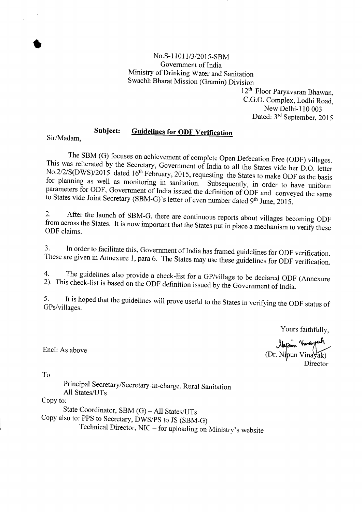

12th Floor Paryavaran Bhawan, C.G.O. Complex, Lodhi Road, New Delhi-110 003 Dated: 3rd September, 2015

## **Subject: Guidelines for ODF Verification**

Sir/Madam,

•

The SBM (G) focuses on achievement of complete Open Defecation Free (ODF) villages. This was reiterated by the Secretary, Government of India to all the States vide her D.O. letter No.2/2/S(DWS)/2015 dated 16<sup>th</sup> February, 2015, requesting the States to make ODF as the basis for planning as well as monitoring in sanitation. Subsequently, in order to have uniform parameters for ODF, Government of India issued the definition of ODF and conveyed the same to States vide Joint Secretary (SBM-G)'s letter of even number dated 9<sup>th</sup> June, 2015.

2. After the launch of SBM-G, there are continuous reports about villages becoming ODF from across the States. It is now important that the States put in place a mechanism to verify these ODF claims.

3. In order to facilitate this, Government of India has framed guidelines for ODF verification. These are given in Annexure 1, para 6. The States may use these guidelines for ODF verification.

4. The guidelines also provide a check-list for a GP/village to be declared ODF (Annexure 2). This check-list is based on the ODF definition issued by the Government of India.

5. It is hoped that the guidelines will prove useful to the States in verifying the ODF status of GPs/villages.

Yours faithfully,

Uyam Warah<br>(Dr. Nipun Vinayak)

Director

Encl: As above

To

Principal Secretary/Secretary-in-charge, Rural Sanitation All States/UTs Copy to: State Coordinator, SBM (G) - All States/UTs Copy also to: PPS to Secretary, DWS/PS to JS (SBM-G)

Technical Director, NIC - for uploading on Ministry's website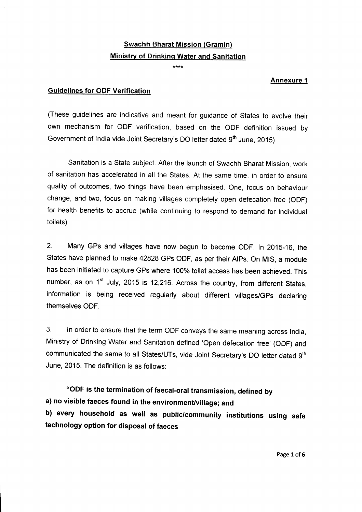# Swachh Bharat Mission (Gramin) Ministry of Drinking Water and Sanitation

\*\*\*\*

#### Annexure 1

#### Guidelines for ODF Verification

(These guidelines are indicative and meant for guidance of States to evolve their own mechanism for ODF verification, based on the ODF definition issued by Government of India vide Joint Secretary's DO letter dated 9<sup>th</sup> June, 2015)

Sanitation is a State subject. After the launch of Swachh Bharat Mission, work of sanitation has accelerated in all the States. At the same time, in order to ensure quality of outcomes, two things have been emphasised. One, focus on behaviour change, and two, focus on making villages completely open defecation free (ODF) for health benefits to accrue (while continuing to respond to demand for individual toilets).

2. Many GPs and villages have now begun to become ODF. In 2015-16, the States have planned to make 42828 GPs ODF, as per their AlPs. On MIS, a module has been initiated to capture GPs where 100% toilet access has been achieved. This number, as on  $1<sup>st</sup>$  July, 2015 is 12,216. Across the country, from different States, information is being received regularly about different viliages/GPs declaring themselves ODF.

3. In order to ensure that the term ODF conveys the same meaning across India, Ministry of Drinking Water and Sanitation defined 'Open defecation free' (ODF) and communicated the same to all States/UTs, vide Joint Secretary's DO letter dated 9<sup>th</sup> June, 2015. The definition is as follows:

"ODF is the termination of faecal-oral transmission, defined by a) no visible faeces found in the environment/village; and b) every household as well as public/community institutions using safe technology option for disposal of faeces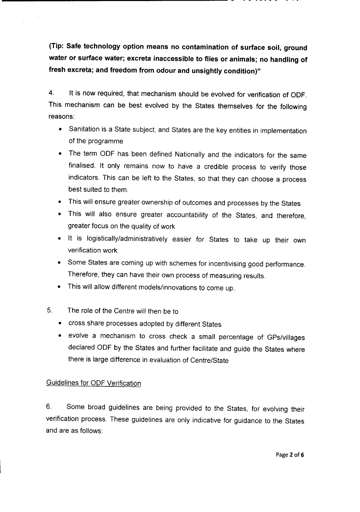**(Tip: Safe technology option means no contamination of surface soil, ground water or surface water; excreta inaccessible to flies or animals; no handling of fresh excreta; and freedom from odour and unsightly condition)"**

4. It is now required, that mechanism should be evolved for verification of ODF. This mechanism can be best evolved by the States themselves for the following reasons:

- Sanitation is a State subject, and States are the key entities in implementation of the programme
- The term ODF has been defined Nationally and the indicators for the same finalised. It only remains now to have a credible process to verify those indicators. This can be left to the States, so that they can choose a process best suited to them.
- This will ensure greater ownership of outcomes and processes by the States
- This will also ensure greater accountability of the States, and therefore, greater focus on the quality of work
- It is logistically/administratively easier for States to take up their own verification work.
- Some States are coming up with schemes for incentivising good performance. Therefore, they can have their own process of measuring results.
- This will allow different models/innovations to come up.
- 5. The role of the Centre will then be to
	- cross share processes adopted by different States
	- evolve a mechanism to cross check a small percentage of GPs/viliages declared ODF by the States and further facilitate and guide the States where there is large difference in evaluation of Centre/State

### Guidelines for ODF Verification

6. Some broad guidelines are being provided to the States, for evolving their verification process. These guidelines are only indicative for guidance to the States and are as follows: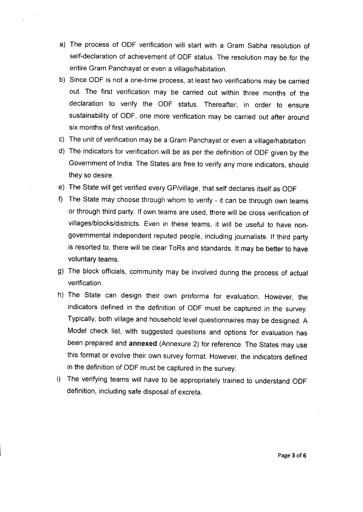- a) The process of ODF verification will start with a Gram Sabha resolution of self-declaration of achievement of ODF status. The resolution may be for the entire Gram Panchayat or even a village/habitation.
- b) Since ODF is not a one-time process, at least two verifications may be carried out. The first verification may be carried out within three months of the declaration to verify the ODF status. Thereafter, in order to ensure sustainability of ODF, one more verification may be carried out after around six months of first verification.
- c) The unit of verification may be a Gram Panchayat or even a village/habitation
- d) The indicators for verification will be as per the definition of ODF given by the Government of India. The States are free to verify any more indicators, should they so desire.
- e) The State will get verified every GP/village, that self declares itself as ODF
- f) The State may choose through whom to verify it can be through own teams or through third party. If own teams are used, there will be cross verification of villages/blocks/districts. Even in these teams, it will be useful to have nongovernmental independent reputed people, including journalists. If third party is resorted to, there will be clear ToRs and standards. It may be better to have voluntary teams.
- g) The block officials, community may be involved during the process of actual verification.
- h) The State can design their own proforma for evaluation. However, the indicators defined in the definition of ODF must be captured in the survey. Typically, both village and household level questionnaires may be designed. A Model check list, with suggested questions and options for evaluation has been prepared and **annexed** (Annexure 2) for reference. The States may use this format or evolve their own survey format. However, the indicators defined in the definition of ODF must be captured in the survey.
- i) The verifying teams will have to be appropriately trained to understand ODF definition, including safe disposal of excreta.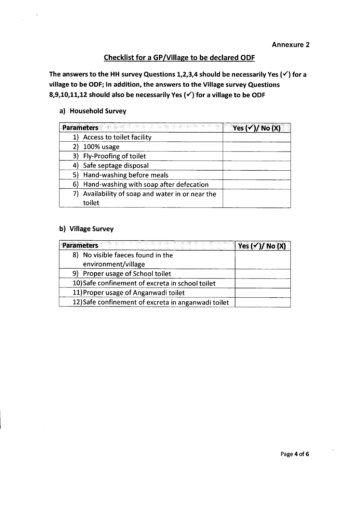# Checklist for a GP/Village to be declared ODF

The answers to the HH survey Questions 1,2,3,4 should be necessarily Yes ( $\checkmark$ ) for a village to be ODF; In addition, the answers to the Village survey Questions 8,9,10,11,12 should also be necessarily Yes  $(\checkmark)$  for a village to be ODF

#### a) Household Survey

|    | 친구는 아내 아이가 있었다. 그는 아이가 있었다.<br><b>Parameters</b> | Yes $(\checkmark)$ / No (X) |
|----|--------------------------------------------------|-----------------------------|
|    | Access to toilet facility                        |                             |
|    | 100% usage                                       |                             |
| 3) | Fly-Proofing of toilet                           |                             |
|    | 4) Safe septage disposal                         |                             |
|    | 5) Hand-washing before meals                     |                             |
| 6) | Hand-washing with soap after defecation          |                             |
|    | Availability of soap and water in or near the    |                             |
|    | toilet                                           |                             |

## b) Village Survey

| 3%%, 이상 : 10%, 이상 : 이상 : 4% : 4% : 4% : 1% : 7% : 7% : 1%<br>Parameters | $ $ Yes ( $\checkmark$ )/ No (X) |
|-------------------------------------------------------------------------|----------------------------------|
| 8) No visible faeces found in the                                       |                                  |
| environment/village                                                     |                                  |
| 9) Proper usage of School toilet                                        |                                  |
| 10) Safe confinement of excreta in school toilet                        |                                  |
| 11) Proper usage of Anganwadi toilet                                    |                                  |
| 12) Safe confinement of excreta in anganwadi toilet                     |                                  |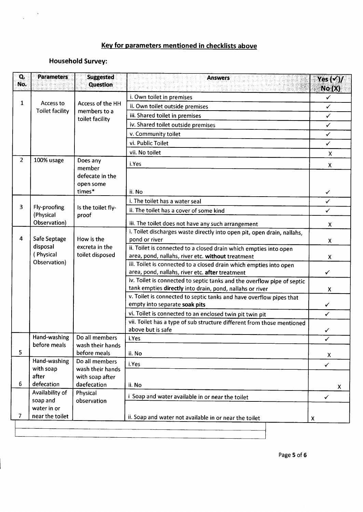# Key for parameters mentioned in checklists above

# Household Survey:

 $\ddot{\phantom{a}}$ 

 $\bar{\mathcal{A}}$ 

 $\overline{a}$ 

| Q.<br>No.      | <b>Parameters</b>                                                               | <b>Suggested</b><br><b>Question</b> | <b>Answers</b><br>the state of the second state of the second state of the second state of the second state of the second state o | Yes $(\checkmark)$ /<br>No(X) |
|----------------|---------------------------------------------------------------------------------|-------------------------------------|-----------------------------------------------------------------------------------------------------------------------------------|-------------------------------|
|                |                                                                                 |                                     | i. Own toilet in premises                                                                                                         | ✓                             |
| 1              | Access to                                                                       | Access of the HH<br>members to a    | ii. Own toilet outside premises                                                                                                   | $\checkmark$                  |
|                | <b>Toilet facility</b>                                                          |                                     | iii. Shared toilet in premises                                                                                                    | $\checkmark$                  |
|                |                                                                                 | toilet facility                     | iv. Shared toilet outside premises                                                                                                | $\checkmark$                  |
|                |                                                                                 |                                     | v. Community toilet                                                                                                               | $\checkmark$                  |
|                |                                                                                 |                                     | vi. Public Toilet                                                                                                                 | $\checkmark$                  |
|                |                                                                                 |                                     | vii. No toilet                                                                                                                    | X                             |
| $\overline{2}$ | 100% usage                                                                      | Does any<br>member                  | i.Yes                                                                                                                             | X                             |
|                |                                                                                 | defecate in the<br>open some        |                                                                                                                                   |                               |
|                |                                                                                 | times*                              | ii. No                                                                                                                            | ✓                             |
|                |                                                                                 | Is the toilet fly-<br>proof         | i. The toilet has a water seal                                                                                                    | ✓                             |
| 3              | Fly-proofing<br>(Physical                                                       |                                     | ii. The toilet has a cover of some kind                                                                                           | ✓                             |
|                | Observation)                                                                    |                                     | iii. The toilet does not have any such arrangement                                                                                | X                             |
|                |                                                                                 |                                     | i. Toilet discharges waste directly into open pit, open drain, nallahs,                                                           |                               |
| 4              | Safe Septage                                                                    | How is the                          | pond or river                                                                                                                     | X                             |
|                | disposal<br>(Physical                                                           | excreta in the<br>toilet disposed   | ii. Toilet is connected to a closed drain which empties into open                                                                 |                               |
|                | Observation)                                                                    |                                     | area, pond, nallahs, river etc. without treatment<br>iii. Toilet is connected to a closed drain which empties into open           | X                             |
|                |                                                                                 |                                     | area, pond, nallahs, river etc. after treatment                                                                                   | ✓                             |
|                |                                                                                 |                                     | iv. Toilet is connected to septic tanks and the overflow pipe of septic                                                           |                               |
|                |                                                                                 |                                     | tank empties directly into drain, pond, nallahs or river                                                                          | $\mathsf{x}$                  |
|                |                                                                                 |                                     | v. Toilet is connected to septic tanks and have overflow pipes that                                                               |                               |
|                |                                                                                 |                                     | empty into separate soak pits                                                                                                     | ✓                             |
|                |                                                                                 |                                     | vi. Toilet is connected to an enclosed twin pit twin pit                                                                          | ✓                             |
|                |                                                                                 |                                     | vii. Toilet has a type of sub structure different from those mentioned                                                            |                               |
|                | Hand-washing                                                                    | Do all members                      | above but is safe<br>i.Yes                                                                                                        | ✓                             |
|                | before meals                                                                    | wash their hands                    |                                                                                                                                   | $\checkmark$                  |
| 5              |                                                                                 | before meals                        | ii. No                                                                                                                            | $\pmb{\times}$                |
|                | Hand-washing                                                                    | Do all members                      | i.Yes                                                                                                                             | $\checkmark$                  |
|                | with soap<br>after                                                              | wash their hands                    |                                                                                                                                   |                               |
| 6              | defecation                                                                      | with soap after<br>daefecation      | ii. No                                                                                                                            | X                             |
|                | Availability of<br>Physical<br>i Soap and water available in or near the toilet |                                     | $\checkmark$                                                                                                                      |                               |
|                | soap and                                                                        | observation                         |                                                                                                                                   |                               |
| 7.             | water in or<br>near the toilet                                                  |                                     |                                                                                                                                   |                               |
|                |                                                                                 |                                     | ii. Soap and water not available in or near the toilet                                                                            | X                             |
|                |                                                                                 |                                     |                                                                                                                                   |                               |

I